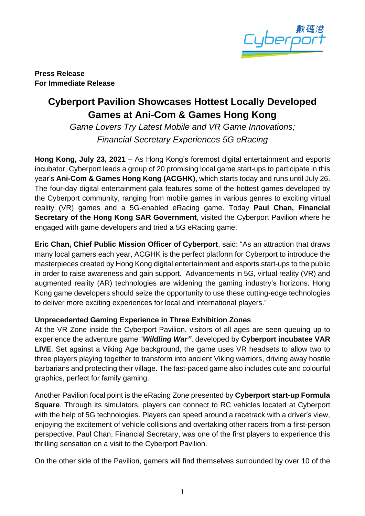

**Press Release For Immediate Release**

## **Cyberport Pavilion Showcases Hottest Locally Developed Games at Ani-Com & Games Hong Kong**

*Game Lovers Try Latest Mobile and VR Game Innovations; Financial Secretary Experiences 5G eRacing*

**Hong Kong, July 23, 2021** – As Hong Kong's foremost digital entertainment and esports incubator, Cyberport leads a group of 20 promising local game start-ups to participate in this year's **Ani-Com & Games Hong Kong (ACGHK)**, which starts today and runs until July 26. The four-day digital entertainment gala features some of the hottest games developed by the Cyberport community, ranging from mobile games in various genres to exciting virtual reality (VR) games and a 5G-enabled eRacing game. Today **Paul Chan, Financial Secretary of the Hong Kong SAR Government**, visited the Cyberport Pavilion where he engaged with game developers and tried a 5G eRacing game.

**Eric Chan, Chief Public Mission Officer of Cyberport**, said: "As an attraction that draws many local gamers each year, ACGHK is the perfect platform for Cyberport to introduce the masterpieces created by Hong Kong digital entertainment and esports start-ups to the public in order to raise awareness and gain support. Advancements in 5G, virtual reality (VR) and augmented reality (AR) technologies are widening the gaming industry's horizons. Hong Kong game developers should seize the opportunity to use these cutting-edge technologies to deliver more exciting experiences for local and international players."

## **Unprecedented Gaming Experience in Three Exhibition Zones**

At the VR Zone inside the Cyberport Pavilion, visitors of all ages are seen queuing up to experience the adventure game "*Wildling War"*, developed by **Cyberport incubatee VAR LIVE**. Set against a Viking Age background, the game uses VR headsets to allow two to three players playing together to transform into ancient Viking warriors, driving away hostile barbarians and protecting their village. The fast-paced game also includes cute and colourful graphics, perfect for family gaming.

Another Pavilion focal point is the eRacing Zone presented by **Cyberport start-up Formula Square**. Through its simulators, players can connect to RC vehicles located at Cyberport with the help of 5G technologies. Players can speed around a racetrack with a driver's view, enjoying the excitement of vehicle collisions and overtaking other racers from a first-person perspective. Paul Chan, Financial Secretary, was one of the first players to experience this thrilling sensation on a visit to the Cyberport Pavilion.

On the other side of the Pavilion, gamers will find themselves surrounded by over 10 of the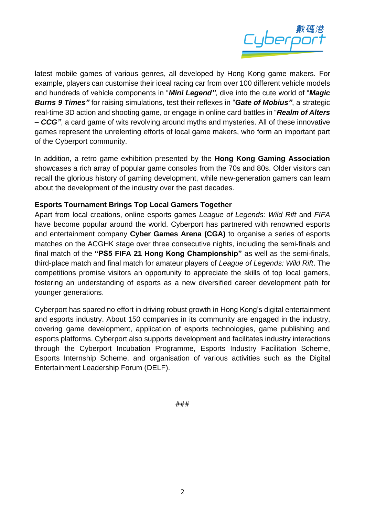

latest mobile games of various genres, all developed by Hong Kong game makers. For example, players can customise their ideal racing car from over 100 different vehicle models and hundreds of vehicle components in "*Mini Legend"*, dive into the cute world of "*Magic Burns 9 Times"* for raising simulations, test their reflexes in "*Gate of Mobius"*, a strategic real-time 3D action and shooting game, or engage in online card battles in "*Realm of Alters – CCG"*, a card game of wits revolving around myths and mysteries. All of these innovative games represent the unrelenting efforts of local game makers, who form an important part of the Cyberport community.

In addition, a retro game exhibition presented by the **Hong Kong Gaming Association** showcases a rich array of popular game consoles from the 70s and 80s. Older visitors can recall the glorious history of gaming development, while new-generation gamers can learn about the development of the industry over the past decades.

## **Esports Tournament Brings Top Local Gamers Together**

Apart from local creations, online esports games *League of Legends: Wild Rift* and *FIFA* have become popular around the world. Cyberport has partnered with renowned esports and entertainment company **Cyber Games Arena (CGA)** to organise a series of esports matches on the ACGHK stage over three consecutive nights, including the semi-finals and final match of the **"PS5 FIFA 21 Hong Kong Championship"** as well as the semi-finals, third-place match and final match for amateur players of *League of Legends: Wild Rift*. The competitions promise visitors an opportunity to appreciate the skills of top local gamers, fostering an understanding of esports as a new diversified career development path for younger generations.

Cyberport has spared no effort in driving robust growth in Hong Kong's digital entertainment and esports industry. About 150 companies in its community are engaged in the industry, covering game development, application of esports technologies, game publishing and esports platforms. Cyberport also supports development and facilitates industry interactions through the Cyberport Incubation Programme, Esports Industry Facilitation Scheme, Esports Internship Scheme, and organisation of various activities such as the Digital Entertainment Leadership Forum (DELF).

###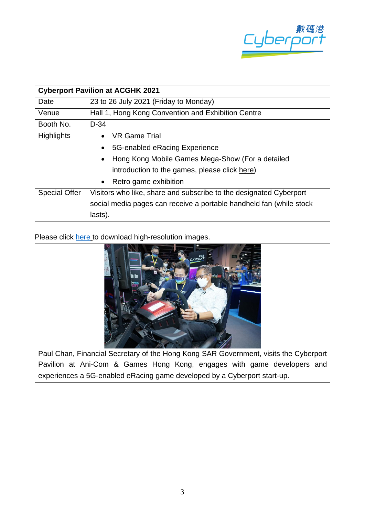

| <b>Cyberport Pavilion at ACGHK 2021</b> |                                                                     |
|-----------------------------------------|---------------------------------------------------------------------|
| Date                                    | 23 to 26 July 2021 (Friday to Monday)                               |
| Venue                                   | Hall 1, Hong Kong Convention and Exhibition Centre                  |
| Booth No.                               | $D-34$                                                              |
| <b>Highlights</b>                       | VR Game Trial<br>$\bullet$                                          |
|                                         | 5G-enabled eRacing Experience<br>$\bullet$                          |
|                                         | Hong Kong Mobile Games Mega-Show (For a detailed<br>$\bullet$       |
|                                         | introduction to the games, please click here)                       |
|                                         | Retro game exhibition<br>$\bullet$                                  |
| <b>Special Offer</b>                    | Visitors who like, share and subscribe to the designated Cyberport  |
|                                         | social media pages can receive a portable handheld fan (while stock |
|                                         | lasts).                                                             |

Please click [here](https://drive.google.com/drive/folders/1v9XgjgtbuIPj_eUIF55A8EGAI3ZMy7sB) to download high-resolution images.



Pavilion at Ani-Com & Games Hong Kong, engages with game developers and experiences a 5G-enabled eRacing game developed by a Cyberport start-up.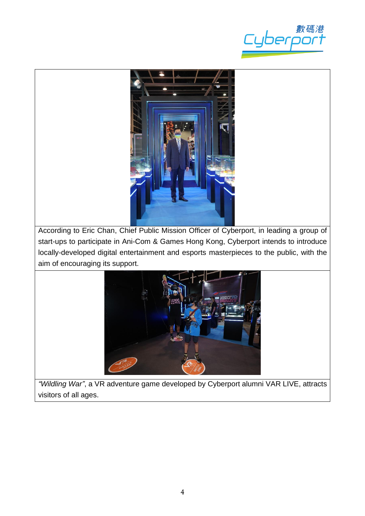



According to Eric Chan, Chief Public Mission Officer of Cyberport, in leading a group of start-ups to participate in Ani-Com & Games Hong Kong, Cyberport intends to introduce locally-developed digital entertainment and esports masterpieces to the public, with the aim of encouraging its support.



*"Wildling War"*, a VR adventure game developed by Cyberport alumni VAR LIVE, attracts visitors of all ages.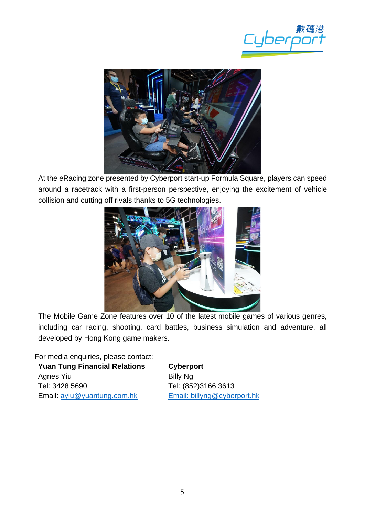



At the eRacing zone presented by Cyberport start-up Formula Square, players can speed around a racetrack with a first-person perspective, enjoying the excitement of vehicle collision and cutting off rivals thanks to 5G technologies.



The Mobile Game Zone features over 10 of the latest mobile games of various genres, including car racing, shooting, card battles, business simulation and adventure, all developed by Hong Kong game makers.

For media enquiries, please contact: **Yuan Tung Financial Relations** Agnes Yiu Tel: 3428 5690 Email: [ayiu@yuantung.com.hk](mailto:ayiu@yuantung.com.hk)

**Cyberport** Billy Ng Tel: (852)3166 3613 Email: [billyng@cyberport.hk](mailto:billyng@cyberport.hk)